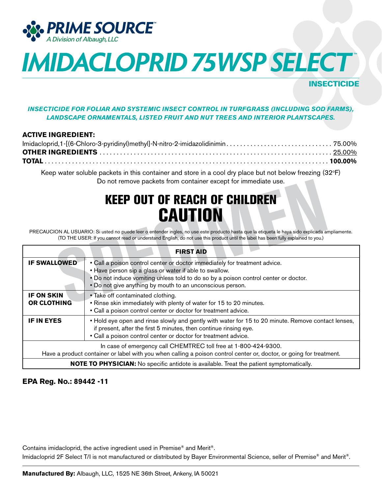

## **INSECTICIDE**

### *INSECTICIDE FOR FOLIAR AND SYSTEMIC INSECT CONTROL IN TURFGRASS (INCLUDING SOD FARMS), LANDSCAPE ORNAMENTALS, LISTED FRUIT AND NUT TREES AND INTERIOR PLANTSCAPES.*

### **ACTIVE INGREDIENT:**

Keep water soluble packets in this container and store in a cool dry place but not below freezing (32°F) Do not remove packets from container except for immediate use.

## KEEP OUT OF REACH OF CHILDREN **CAUTION**

| Do not remove packets from container except for immediate use.                                                                                                                                            |                                                                                                                                                                                                                                                                                          |  |  |  |
|-----------------------------------------------------------------------------------------------------------------------------------------------------------------------------------------------------------|------------------------------------------------------------------------------------------------------------------------------------------------------------------------------------------------------------------------------------------------------------------------------------------|--|--|--|
| <b>KEEP OUT OF REACH OF CHILDREN</b><br><b>CAUTION</b><br>PRECAUCION AL USUARIO: Si usted no puede leer o entender ingles, no use este producto hasta que la etiqueta le haya sido explicada ampliamente. |                                                                                                                                                                                                                                                                                          |  |  |  |
| (TO THE USER: If you cannot read or understand English, do not use this product until the label has been fully explained to you.)                                                                         |                                                                                                                                                                                                                                                                                          |  |  |  |
| <b>FIRST AID</b>                                                                                                                                                                                          |                                                                                                                                                                                                                                                                                          |  |  |  |
| <b>IF SWALLOWED</b>                                                                                                                                                                                       | • Call a poison control center or doctor immediately for treatment advice.<br>• Have person sip a glass or water if able to swallow.<br>. Do not induce vomiting unless told to do so by a poison control center or doctor.<br>. Do not give anything by mouth to an unconscious person. |  |  |  |
| <b>IF ON SKIN</b><br><b>OR CLOTHING</b>                                                                                                                                                                   | • Take off contaminated clothing.<br>. Rinse skin immediately with plenty of water for 15 to 20 minutes.<br>• Call a poison control center or doctor for treatment advice.                                                                                                               |  |  |  |
| <b>IF IN EYES</b>                                                                                                                                                                                         | • Hold eye open and rinse slowly and gently with water for 15 to 20 minute. Remove contact lenses,<br>if present, after the first 5 minutes, then continue rinsing eye.<br>• Call a poison control center or doctor for treatment advice.                                                |  |  |  |
| In case of emergency call CHEMTREC toll free at 1-800-424-9300.<br>Have a product container or label with you when calling a poison control center or, doctor, or going for treatment.                    |                                                                                                                                                                                                                                                                                          |  |  |  |
| <b>NOTE TO PHYSICIAN:</b> No specific antidote is available. Treat the patient symptomatically.                                                                                                           |                                                                                                                                                                                                                                                                                          |  |  |  |

### **EPA Reg. No.: 89442 -11**

Contains imidacloprid, the active ingredient used in Premise® and Merit®. Imidacloprid 2F Select T/I is not manufactured or distributed by Bayer Environmental Science, seller of Premise<sup>®</sup> and Merit<sup>®</sup>.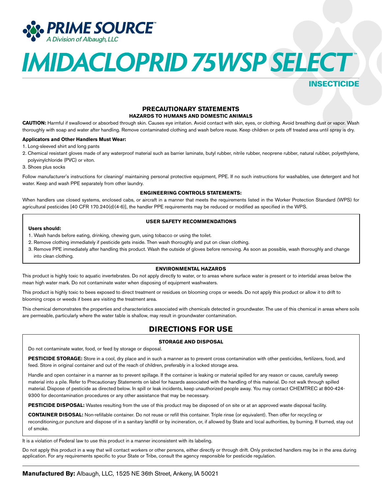

INSECTICIDE

## **PRECAUTIONARY STATEMENTS**

**HAZARDS TO HUMANS AND DOMESTIC ANIMALS**

**CAUTION:** Harmful if swallowed or absorbed through skin. Causes eye irritation. Avoid contact with skin, eyes, or clothing. Avoid breathing dust or vapor. Wash thoroughly with soap and water after handling. Remove contaminated clothing and wash before reuse. Keep children or pets off treated area until spray is dry.

#### **Applicators and Other Handlers Must Wear:**

- 1. Long-sleeved shirt and long pants
- 2. Chemical resistant gloves made of any waterproof material such as barrier laminate, butyl rubber, nitrile rubber, neoprene rubber, natural rubber, polyethylene, polyvinylchloride (PVC) or viton.
- 3. Shoes plus socks

Follow manufacturer's instructions for cleaning/ maintaining personal protective equipment, PPE. If no such instructions for washables, use detergent and hot water. Keep and wash PPE separately from other laundry.

#### **ENGINEERING CONTROLS STATEMENTS:**

When handlers use closed systems, enclosed cabs, or aircraft in a manner that meets the requirements listed in the Worker Protection Standard (WPS) for agricultural pesticides [40 CFR 170.240(d)(4-6)], the handler PPE requirements may be reduced or modified as specified in the WPS.

#### **USER SAFETY RECOMMENDATIONS**

#### **Users should:**

- 1. Wash hands before eating, drinking, chewing gum, using tobacco or using the toilet.
- 2. Remove clothing immediately if pesticide gets inside. Then wash thoroughly and put on clean clothing.
- 3. Remove PPE immediately after handling this product. Wash the outside of gloves before removing. As soon as possible, wash thoroughly and change into clean clothing.

#### **ENVIRONMENTAL HAZARDS**

This product is highly toxic to aquatic invertebrates. Do not apply directly to water, or to areas where surface water is present or to intertidal areas below the mean high water mark. Do not contaminate water when disposing of equipment washwaters.

This product is highly toxic to bees exposed to direct treatment or residues on blooming crops or weeds. Do not apply this product or allow it to drift to blooming crops or weeds if bees are visiting the treatment area.

This chemical demonstrates the properties and characteristics associated with chemicals detected in groundwater. The use of this chemical in areas where soils are permeable, particularly where the water table is shallow, may result in groundwater contamination.

### **DIRECTIONS FOR USE**

#### **STORAGE AND DISPOSAL**

Do not contaminate water, food, or feed by storage or disposal.

**PESTICIDE STORAGE:** Store in a cool, dry place and in such a manner as to prevent cross contamination with other pesticides, fertilizers, food, and feed. Store in original container and out of the reach of children, preferably in a locked storage area.

Handle and open container in a manner as to prevent spillage. If the container is leaking or material spilled for any reason or cause, carefully sweep material into a pile. Refer to Precautionary Statements on label for hazards associated with the handling of this material. Do not walk through spilled material. Dispose of pesticide as directed below. In spill or leak incidents, keep unauthorized people away. You may contact CHEMTREC at 800-424- 9300 for decontamination procedures or any other assistance that may be necessary.

PESTICIDE DISPOSAL: Wastes resulting from the use of this product may be disposed of on site or at an approved waste disposal facility.

**CONTAINER DISOSAL:** Non-refillable container. Do not reuse or refill this container. Triple rinse (or equivalent). Then offer for recycling or reconditioning,or puncture and dispose of in a sanitary landfill or by incineration, or, if allowed by State and local authorities, by burning. If burned, stay out of smoke.

It is a violation of Federal law to use this product in a manner inconsistent with its labeling.

Do not apply this product in a way that will contact workers or other persons, either directly or through drift. Only protected handlers may be in the area during application. For any requirements specific to your State or Tribe, consult the agency responsible for pesticide regulation.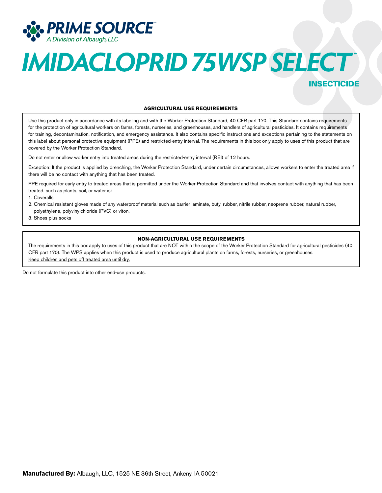

## INSECTICIDE

#### **AGRICULTURAL USE REQUIREMENTS**

Use this product only in accordance with its labeling and with the Worker Protection Standard, 40 CFR part 170. This Standard contains requirements for the protection of agricultural workers on farms, forests, nurseries, and greenhouses, and handlers of agricultural pesticides. It contains requirements for training, decontamination, notification, and emergency assistance. It also contains specific instructions and exceptions pertaining to the statements on this label about personal protective equipment (PPE) and restricted-entry interval. The requirements in this box only apply to uses of this product that are covered by the Worker Protection Standard.

Do not enter or allow worker entry into treated areas during the restricted-entry interval (REI) of 12 hours.

Exception: If the product is applied by drenching, the Worker Protection Standard, under certain circumstances, allows workers to enter the treated area if there will be no contact with anything that has been treated.

PPE required for early entry to treated areas that is permitted under the Worker Protection Standard and that involves contact with anything that has been treated, such as plants, soil, or water is:

1. Coveralls

- 2. Chemical resistant gloves made of any waterproof material such as barrier laminate, butyl rubber, nitrile rubber, neoprene rubber, natural rubber, polyethylene, polyvinylchloride (PVC) or viton.
- 3. Shoes plus socks

#### **NON-AGRICULTURAL USE REQUIREMENTS**

The requirements in this box apply to uses of this product that are NOT within the scope of the Worker Protection Standard for agricultural pesticides (40 CFR part 170). The WPS applies when this product is used to produce agricultural plants on farms, forests, nurseries, or greenhouses. Keep children and pets off treated area until dry.

Do not formulate this product into other end-use products.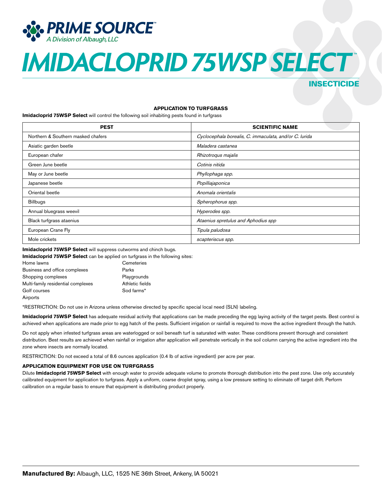

### INSECTICIDE

#### **APPLICATION TO TURFGRASS**

**Imidacloprid 75WSP Select** will control the following soil inhabiting pests found in turfgrass

| <b>PEST</b>                        | <b>SCIENTIFIC NAME</b>                                 |
|------------------------------------|--------------------------------------------------------|
| Northern & Southern masked chafers | Cyclocephala borealis, C. immaculata, and/or C. lurida |
| Asiatic garden beetle              | Maladera castanea                                      |
| European chafer                    | Rhizotroqus majalis                                    |
| Green June beetle                  | Cotinis nitida                                         |
| May or June beetle                 | Phyllophaga spp.                                       |
| Japanese beetle                    | Popilliajaponica                                       |
| Oriental beetle                    | Anomala orientalis                                     |
| <b>Billbugs</b>                    | Spherophorus spp.                                      |
| Annual bluegrass weevil            | Hyperodes spp.                                         |
| Black turfgrass ataenius           | Ataenius spretulus and Aphodius spp                    |
| European Crane Fly                 | Tipula paludosa                                        |
| Mole crickets                      | scapteriscus spp.                                      |

**Imidacloprid 75WSP Select** will suppress cutworms and chinch bugs.

| Imidacloprid 75WSP Select can be applied on turfgrass in the following sites: |                 |  |
|-------------------------------------------------------------------------------|-----------------|--|
| Home lawns                                                                    | Cemeteries      |  |
| Business and office complexes                                                 | Parks           |  |
| Shopping complexes                                                            | Playgrounds     |  |
| Multi-family residential complexes                                            | Athletic fields |  |
| Golf courses                                                                  | Sod farms*      |  |
| Airports                                                                      |                 |  |

\*RESTRICTION: Do not use in Arizona unless otherwise directed by specific special local need (SLN) labeling.

**Imidacloprid 75WSP Select** has adequate residual activity that applications can be made preceding the egg laying activity of the target pests. Best control is achieved when applications are made prior to egg hatch of the pests. Sufficient irrigation or rainfall is required to move the active ingredient through the hatch.

Do not apply when infested turfgrass areas are waterlogged or soil beneath turf is saturated with water. These conditions prevent thorough and consistent distribution. Best results are achieved when rainfall or irrigation after application will penetrate vertically in the soil column carrying the active ingredient into the zone where insects are normally located.

RESTRICTION: Do not exceed a total of 8.6 ounces application (0.4 lb of active ingredient) per acre per year.

#### **APPLICATION EQUIPMENT FOR USE ON TURFGRASS**

Dilute **Imidacloprid 75WSP Select** with enough water to provide adequate volume to promote thorough distribution into the pest zone. Use only accurately calibrated equipment for application to turfgrass. Apply a uniform, coarse droplet spray, using a low pressure setting to eliminate off target drift. Perform calibration on a regular basis to ensure that equipment is distributing product properly.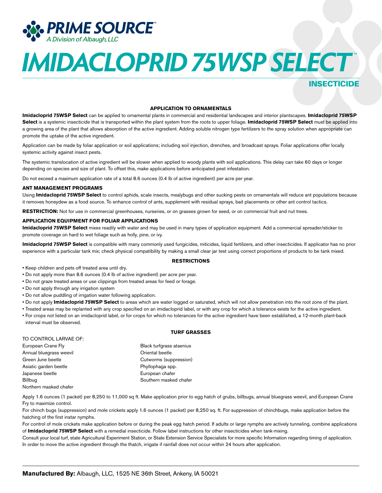

### INSECTICIDE

#### **APPLICATION TO ORNAMENTALS**

**Imidacloprid 75WSP Select** can be applied to ornamental plants in commercial and residential landscapes and interior plantscapes. **Imidacloprid 75WSP Select** is a systemic insecticide that is transported within the plant system from the roots to upper foliage. **Imidacloprid 75WSP Select** must be applied into a growing area of the plant that allows absorption of the active ingredient. Adding soluble nitrogen type fertilizers to the spray solution when appropriate can promote the uptake of the active ingredient.

Application can be made by foliar application or soil applications; including soil injection, drenches, and broadcast sprays. Foliar applications offer locally systemic activity against insect pests.

The systemic translocation of active ingredient will be slower when applied to woody plants with soil applications. This delay can take 60 days or longer depending on species and size of plant. To offset this, make applications before anticipated pest infestation.

Do not exceed a maximum application rate of a total 8.6 ounces (0.4 lb of active ingredient) per acre per year.

#### **ANT MANAGEMENT PROGRAMS**

Using **Imidacloprid 75WSP Select** to control aphids, scale insects, mealybugs and other sucking pests on ornamentals will reduce ant populations because it removes honeydew as a food source. To enhance control of ants, supplement with residual sprays, bait placements or other ant control tactics.

**RESTRICTION:** Not for use in commercial greenhouses, nurseries, or on grasses grown for seed, or on commercial fruit and nut trees.

#### **APPLICATION EQUIPMENT FOR FOLIAR APPLICATIONS**

**Imidacloprid 75WSP Select** mixes readily with water and may be used in many types of application equipment. Add a commercial spreader/sticker to promote coverage on hard to wet foliage such as holly, pine, or ivy.

**Imidacloprid 75WSP Select** is compatible with many commonly used fungicides, miticides, liquid fertilizers, and other insecticides. If applicator has no prior experience with a particular tank mix; check physical compatibility by making a small clear jar test using correct proportions of products to be tank mixed.

#### **RESTRICTIONS**

- Keep children and pets off treated area until dry.
- Do not apply more than 8.6 ounces (0.4 lb of active ingredient) per acre per year.
- Do not graze treated areas or use clippings from treated areas for feed or forage.
- Do not apply through any irrigation system
- Do not allow puddling of irrigation water following application.
- Do not apply **Imidacloprid 75WSP Select** to areas which are water logged or saturated, which will not allow penetration into the root zone of the plant.
- Treated areas may be replanted with any crop specified on an imidacloprid label, or with any crop for which a tolerance exists for the active ingredient.
- For crops not listed on an imidacloprid label, or for crops for which no tolerances for the active ingredient have been established, a 12-month plant-back interval must be observed.

#### **TURF GRASSES**

| TO CONTROL LARVAE OF:   |                          |
|-------------------------|--------------------------|
| European Crane Fly      | Black turfgrass ataenius |
| Annual bluegrass weevil | Oriental beetle          |
| Green June beetle       | Cutworms (suppression)   |
| Asiatic garden beetle   | Phyllophaga spp.         |
| Japanese beetle         | European chafer          |
| <b>Billbug</b>          | Southern masked chafer   |
|                         |                          |

Northern masked chafer

Apply 1.6 ounces (1 packet) per 8,250 to 11,000 sq ft. Make application prior to egg hatch of grubs, billbugs, annual bluegrass weevil, and European Crane Fry to maximize control.

For chinch bugs (suppression) and mole crickets apply 1.6 ounces (1 packet) per 8,250 sq. ft. For suppression of chinchbugs, make application before the hatching of the first instar nymphs.

For control of mole crickets make application before or during the peak egg hatch period. If adults or large nymphs are actively tunneling, combine applications of **Imidacloprid 75WSP Select** with a remedial insecticide. Follow label instructions for other insecticides when tank-mixing.

Consult your local turf, state Agricultural Experiment Station, or State Extension Service Specialists for more specific Information regarding timing of application. In order to move the active ingredient through the thatch, irrigate if rainfall does not occur within 24 hours after application.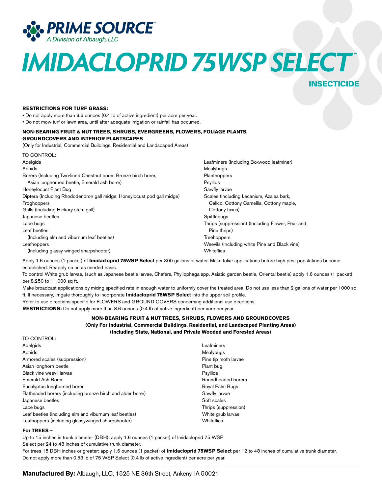

### **INSECTICIDE**

#### **RESTRICTIONS FOR TURF GRASS:**

• Do not apply more than 8.6 ounces (0.4 Ib of active ingredient) per acre per year.

• Do not mow turf or lawn area, until after adequate irrigation or rainfall has occurred.

#### **NON-BEARING FRUIT & NUT TREES, SHRUBS, EVERGREENS, FLOWERS, FOLIAGE PLANTS, GROUNDCOVERS AND INTERIOR PLANTSCAPES**

(Only for Industrial, Commercial Buildings, Residential and Landscaped Areas)

| TO CONTROL:                                                             |                                                  |
|-------------------------------------------------------------------------|--------------------------------------------------|
| Adelgids                                                                | Leafminers (Including Boxwood leafminer)         |
| Aphids                                                                  | Mealybugs                                        |
| Borers (Including Two-lined Chestnut borer, Bronze birch borer,         | Planthoppers                                     |
| Asian longhorned beetle, Emerald ash borer)                             | Psyllids                                         |
| Honeylocust Plant Bug                                                   | Sawfly larvae                                    |
| Diptera (Including Rhododendron gall midge, Honeylocust pod gall midge) | Scales (Including Lecanium, Azalea bark,         |
| Froghoppers                                                             | Calico, Cottony Camellia, Cottony maple,         |
| Galls (Including Hickory stem gall)                                     | Cottony taxus)                                   |
| Japanese beetles                                                        | Spittlebugs                                      |
| Lace bugs                                                               | Thrips (suppression) (Including Flower, Pear and |
| Leaf beetles                                                            | Pine thrips)                                     |
| (Including elm and viburnum leaf beetles)                               | Treehoppers                                      |
| Leafhoppers                                                             | Weevils (Including white Pine and Black vine)    |
| (Including glassy-winged sharpshooter)                                  | Whiteflies                                       |

Apply 1.6 ounces (1 packet) of **Imidacloprid 75WSP Select** per 300 gallons of water. Make foliar applications before high pest populations become established. Reapply on an as needed basis.

To control White grub larvae, (such as Japanese beetle larvae, Chafers, Phyllophaga spp. Asiatic garden beetle, Oriental beetle) apply 1.6 ounces (1 packet) per 8,250 to 11,000 sq ft.

Make broadcast applications by mixing specified rate in enough water to uniformly cover the treated area. Do not use less than 2 gallons of water per 1000 sq ft. If necessary, irrigate thoroughly to incorporate **Imidacloprid 75WSP Select** into the upper soil profile.

Refer to use directions specific for FLOWERS and GROUND COVERS concerning additional use directions.

**RESTRICTIONS:** Do not apply more than 8.6 ounces (0.4 Ib of active ingredient) per acre per year.

#### **NON-BEARING FRUIT & NUT TREES, SHRUBS, FLOWERS AND GROUNDCOVERS (Only For Industrial, Commercial Buildings, Residential, and Landscaped Planting Areas) (Including State, National, and Private Wooded and Forested Areas)**

| TO CONTROL:                                                |                      |
|------------------------------------------------------------|----------------------|
| Adelgids                                                   | Leafminers           |
| Aphids                                                     | Mealybugs            |
| Armored scales (suppression)                               | Pine tip moth larvae |
| Asian longhorn beetle                                      | Plant bug            |
| Black vine weevil larvae                                   | Psyllids             |
| Emerald Ash Borer                                          | Roundheaded borers   |
| Eucalyptus longhorned borer                                | Royal Palm Bugs      |
| Flatheaded borers (including bronze birch and alder borer) | Sawfly larvae        |
| Japanese beetles                                           | Soft scales          |
| Lace bugs                                                  | Thrips (suppression) |
| Leaf beetles (including elm and viburnum leaf beetles)     | White grub larvae    |
| Leafhoppers (including glassywinged sharpshooter)          | Whiteflies           |

#### **For TREES –**

Up to 15 inches in trunk diameter (DBH): apply 1.6 ounces (1 packet) of Imidacloprid 75 WSP

Select per 24 to 48 inches of cumulative trunk diameter.

For trees 15 DBH inches or greater: apply 1.6 ounces (1 packet) of **Imidacloprid 75WSP Select** per 12 to 48 inches of cumulative trunk diameter. Do not apply more than 0.53 lb of 75 WSP Select (0.4 lb of active ingredient) per acre per year.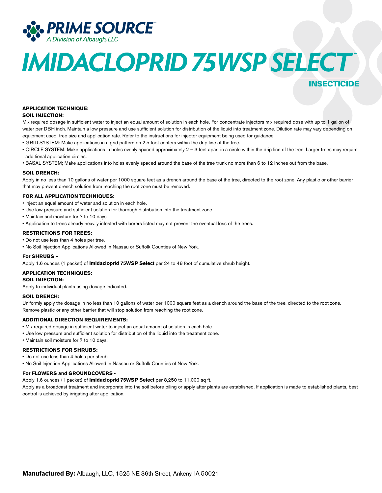

## INSECTICIDE

#### **APPLICATION TECHNIQUE:**

#### **SOIL INJECTION:**

Mix required dosage in sufficient water to inject an equal amount of solution in each hole. For concentrate injectors mix required dose with up to 1 gallon of water per DBH inch. Maintain a low pressure and use sufficient solution for distribution of the liquid into treatment zone. Dilution rate may vary depending on equipment used, tree size and application rate. Refer to the instructions for injector equipment being used for guidance.

- GRID SYSTEM: Make applications in a grid pattern on 2.5 foot centers within the drip line of the tree.
- CIRCLE SYSTEM: Make applications in holes evenly spaced approximately 2 3 feet apart in a circle within the drip line of the tree. Larger trees may require additional application circles.
- BASAL SYSTEM; Make applications into holes evenly spaced around the base of the tree trunk no more than 6 to 12 Inches out from the base.

#### **SOIL DRENCH:**

Apply in no less than 10 gallons of water per 1000 square feet as a drench around the base of the tree, directed to the root zone. Any plastic or other barrier that may prevent drench solution from reaching the root zone must be removed.

#### **FOR ALL APPLICATION TECHNIQUES:**

- Inject an equal amount of water and solution in each hole.
- Use low pressure and sufficient solution for thorough distribution into the treatment zone.
- Maintain soil moisture for 7 to 10 days.
- Application to trees already heavily infested with borers listed may not prevent the eventual loss of the trees.

#### **RESTRICTIONS FOR TREES:**

• Do not use less than 4 holes per tree.

• No Soil Injection Applications Allowed In Nassau or Suffolk Counties of New York.

#### **For SHRUBS –**

Apply 1.6 ounces (1 packet) of **Imidacloprid 75WSP Select** per 24 to 48 foot of cumulative shrub height.

#### **APPLICATION TECHNIQUES:**

#### **SOIL INJECTION:**

Apply to individual plants using dosage Indicated.

#### **SOIL DRENCH:**

Uniformly apply the dosage in no less than 10 gallons of water per 1000 square feet as a drench around the base of the tree, directed to the root zone. Remove plastic or any other barrier that will stop solution from reaching the root zone.

#### **ADDITIONAL DIRECTION REQUIREMENTS:**

- Mix required dosage in sufficient water to inject an equal amount of solution in each hole.
- Use low pressure and sufficient solution for distribution of the liquid into the treatment zone.
- Maintain soil moisture for 7 to 10 days.

#### **RESTRICTIONS FOR SHRUBS:**

- Do not use less than 4 holes per shrub.
- No Soil Injection Applications Allowed In Nassau or Suffolk Counties of New York.

#### **For FLOWERS and GROUNDCOVERS -**

Apply 1.6 ounces (1 packet) of **Imidacloprid 75WSP Select** per 8,250 to 11,000 sq ft.

Apply as a broadcast treatment and incorporate into the soil before piling or apply after plants are established. If application is made to established plants, best control is achieved by irrigating after application.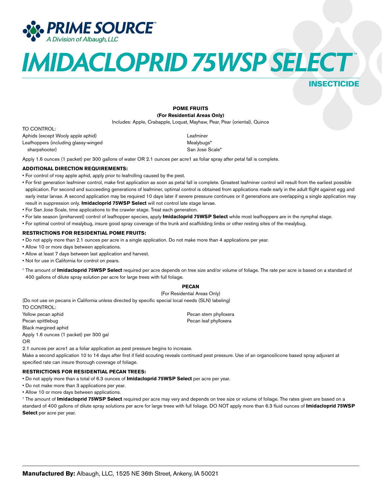

### INSECTICIDE

**POME FRUITS (For Residential Areas Only)**

Includes: Apple, Crabapple, Loquat, Mayhaw, Pear, Pear (oriental), Quince

#### TO CONTROL:

Aphids (except Wooly apple aphid) Leafminer Leafhoppers (including glassy-winged Mealybugs\* sharpshooter) San Jose Scale\* San Jose Scale\*

Apply 1.6 ounces (1 packet) per 300 gallons of water OR 2.1 ounces per acre1 as foliar spray after petal fall is complete.

#### **ADDITIONAL DIRECTION REQUIREMENTS:**

- For control of rosy apple aphid, apply prior to leafrolling caused by the pest.
- For first generation leafminer control, make first application as soon as petal fall is complete. Greatest leafminer control will result from the earliest possible application. For second and succeeding generations of leafminer, optimal control is obtained from applications made early in the adult flight against egg and early instar larvae. A second application may be required 10 days later if severe pressure continues or if generations are overlapping a single application may result in suppression only. **Imidacloprid 75WSP Select** will not control late stage larvae.
- For San Jose Scale, time applications to the crawler stage. Treat each generation.
- For late season (preharvest) control of leafhopper species, apply **Imidacloprid 75WSP Select** while most leafhoppers are in the nymphal stage.
- For optimal control of mealybug, insure good spray coverage of the trunk and scaffolding limbs or other resting sites of the mealybug.

#### **RESTRICTIONS FOR RESIDENTIAL POME FRUITS:**

- Do not apply more than 2.1 ounces per acre in a single application. Do not make more than 4 applications per year.
- Allow 10 or more days between applications.
- Allow at least 7 days between last application and harvest.
- Not for use in California for control on pears.
- <sup>1</sup> The amount of **Imidacloprid 75WSP Select** required per acre depends on tree size and/or volume of foliage. The rate per acre is based on a standard of 400 gallons of dilute spray solution per acre for large trees with full foliage.

#### **PECAN**

(For Residential Areas Only) (Do not use on pecans in California unless directed by specific special local needs (SLN) labeling)

TO CONTROL: Yellow pecan aphid **Pecan stem phylloxera** stem phylloxera Pecan spittlebug Pecan leaf phylloxera Black margined aphid Apply 1.6 ounces (1 packet) per 300 gal OR

2.1 ounces per acre1 as a foliar application as pest pressure begins to increase. Make a second application 10 to 14 days after first if field scouting reveals continued pest pressure. Use of an organosilicone based spray adjuvant at

specified rate can insure thorough coverage of foliage.

#### **RESTRICTIONS FOR RESIDENTIAL PECAN TREES:**

• Do not apply more than a total of 6.3 ounces of **Imidacloprid 75WSP Select** per acre per year.

• Do not make more than 3 applications per year.

• Allow 10 or more days between applications.

1 The amount of **Imidacloprid 75WSP Select** required per acre may very and depends on tree size or volume of foliage. The rates given are based on a standard of 400 gallons of dilute spray solutions per acre for large trees with full foliage. DO NOT apply more than 6.3 fluid ounces of **Imidacloprid 75WSP Select** per acre per year.